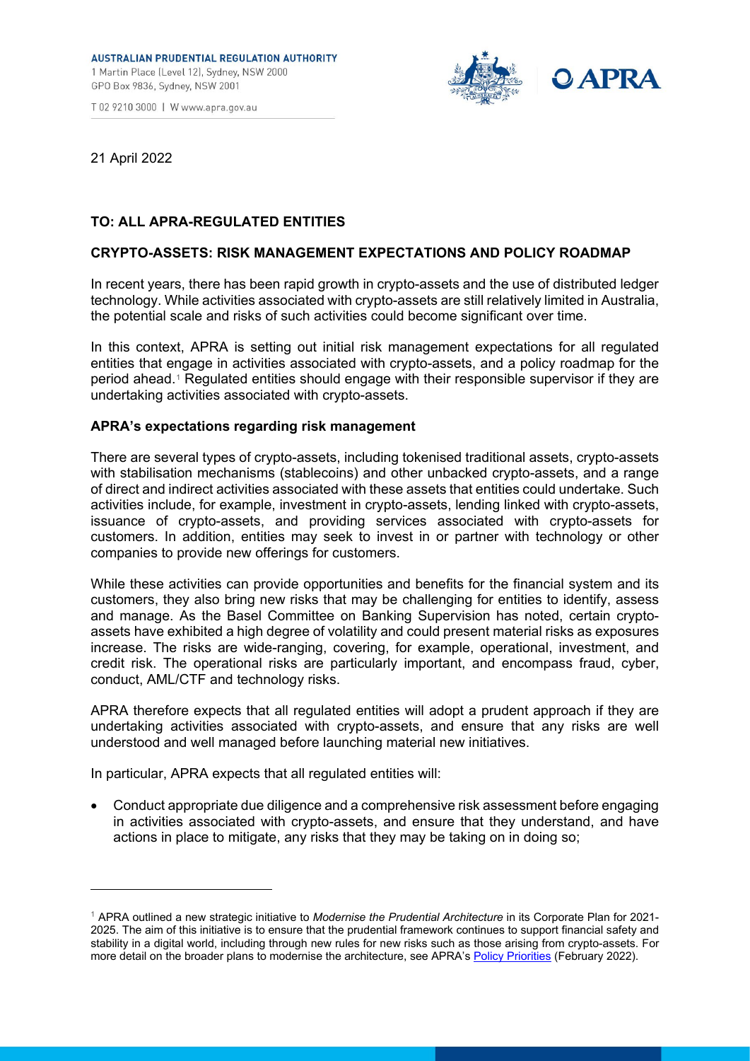# **AUSTRALIAN PRUDENTIAL REGULATION AUTHORITY**

1 Martin Place (Level 12), Sydney, NSW 2000 GPO Box 9836, Sydney, NSW 2001

T 02 9210 3000 | W www.apra.gov.au



21 April 2022

# **TO: ALL APRA-REGULATED ENTITIES**

## **CRYPTO-ASSETS: RISK MANAGEMENT EXPECTATIONS AND POLICY ROADMAP**

In recent years, there has been rapid growth in crypto-assets and the use of distributed ledger technology. While activities associated with crypto-assets are still relatively limited in Australia, the potential scale and risks of such activities could become significant over time.

In this context, APRA is setting out initial risk management expectations for all regulated entities that engage in activities associated with crypto-assets, and a policy roadmap for the period ahead.[1](#page-0-0) Regulated entities should engage with their responsible supervisor if they are undertaking activities associated with crypto-assets.

#### **APRA's expectations regarding risk management**

There are several types of crypto-assets, including tokenised traditional assets, crypto-assets with stabilisation mechanisms (stablecoins) and other unbacked crypto-assets, and a range of direct and indirect activities associated with these assets that entities could undertake. Such activities include, for example, investment in crypto-assets, lending linked with crypto-assets, issuance of crypto-assets, and providing services associated with crypto-assets for customers. In addition, entities may seek to invest in or partner with technology or other companies to provide new offerings for customers.

While these activities can provide opportunities and benefits for the financial system and its customers, they also bring new risks that may be challenging for entities to identify, assess and manage. As the Basel Committee on Banking Supervision has noted, certain cryptoassets have exhibited a high degree of volatility and could present material risks as exposures increase. The risks are wide-ranging, covering, for example, operational, investment, and credit risk. The operational risks are particularly important, and encompass fraud, cyber, conduct, AML/CTF and technology risks.

APRA therefore expects that all regulated entities will adopt a prudent approach if they are undertaking activities associated with crypto-assets, and ensure that any risks are well understood and well managed before launching material new initiatives.

In particular, APRA expects that all regulated entities will:

• Conduct appropriate due diligence and a comprehensive risk assessment before engaging in activities associated with crypto-assets, and ensure that they understand, and have actions in place to mitigate, any risks that they may be taking on in doing so;

<span id="page-0-0"></span><sup>1</sup> APRA outlined a new strategic initiative to *Modernise the Prudential Architecture* in its Corporate Plan for 2021- 2025. The aim of this initiative is to ensure that the prudential framework continues to support financial safety and stability in a digital world, including through new rules for new risks such as those arising from crypto-assets. For more detail on the broader plans to modernise the architecture, see APRA's [Policy Priorities](https://www.apra.gov.au/news-and-publications/apra-releases-its-policy-and-supervision-priorities-for-2022) (February 2022).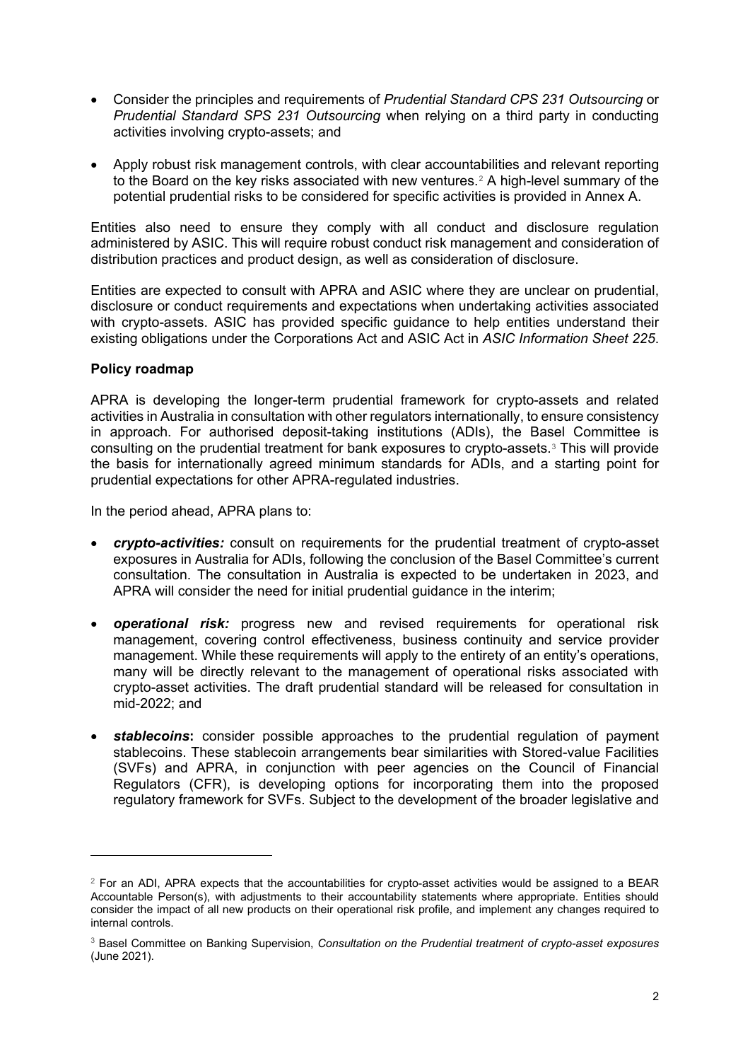- Consider the principles and requirements of *Prudential Standard CPS 231 Outsourcing* or *Prudential Standard SPS 231 Outsourcing* when relying on a third party in conducting activities involving crypto-assets; and
- Apply robust risk management controls, with clear accountabilities and relevant reporting to the Board on the key risks associated with new ventures.<sup>[2](#page-1-0)</sup> A high-level summary of the potential prudential risks to be considered for specific activities is provided in Annex A.

Entities also need to ensure they comply with all conduct and disclosure regulation administered by ASIC. This will require robust conduct risk management and consideration of distribution practices and product design, as well as consideration of disclosure.

Entities are expected to consult with APRA and ASIC where they are unclear on prudential, disclosure or conduct requirements and expectations when undertaking activities associated with crypto-assets. ASIC has provided specific guidance to help entities understand their existing obligations under the Corporations Act and ASIC Act in *ASIC Information Sheet 225*.

## **Policy roadmap**

APRA is developing the longer-term prudential framework for crypto-assets and related activities in Australia in consultation with other regulators internationally, to ensure consistency in approach. For authorised deposit-taking institutions (ADIs), the Basel Committee is consulting on the prudential treatment for bank exposures to crypto-assets.[3](#page-1-1) This will provide the basis for internationally agreed minimum standards for ADIs, and a starting point for prudential expectations for other APRA-regulated industries.

In the period ahead, APRA plans to:

- *crypto-activities:* consult on requirements for the prudential treatment of crypto-asset exposures in Australia for ADIs, following the conclusion of the Basel Committee's current consultation. The consultation in Australia is expected to be undertaken in 2023, and APRA will consider the need for initial prudential guidance in the interim;
- *operational risk:* progress new and revised requirements for operational risk management, covering control effectiveness, business continuity and service provider management. While these requirements will apply to the entirety of an entity's operations, many will be directly relevant to the management of operational risks associated with crypto-asset activities. The draft prudential standard will be released for consultation in mid-2022; and
- **stablecoins:** consider possible approaches to the prudential regulation of payment stablecoins. These stablecoin arrangements bear similarities with Stored-value Facilities (SVFs) and APRA, in conjunction with peer agencies on the Council of Financial Regulators (CFR), is developing options for incorporating them into the proposed regulatory framework for SVFs. Subject to the development of the broader legislative and

<span id="page-1-0"></span> $2$  For an ADI, APRA expects that the accountabilities for crypto-asset activities would be assigned to a BEAR Accountable Person(s), with adjustments to their accountability statements where appropriate. Entities should consider the impact of all new products on their operational risk profile, and implement any changes required to internal controls.

<span id="page-1-1"></span><sup>3</sup> Basel Committee on Banking Supervision, *Consultation on the Prudential treatment of crypto-asset exposures* (June 2021).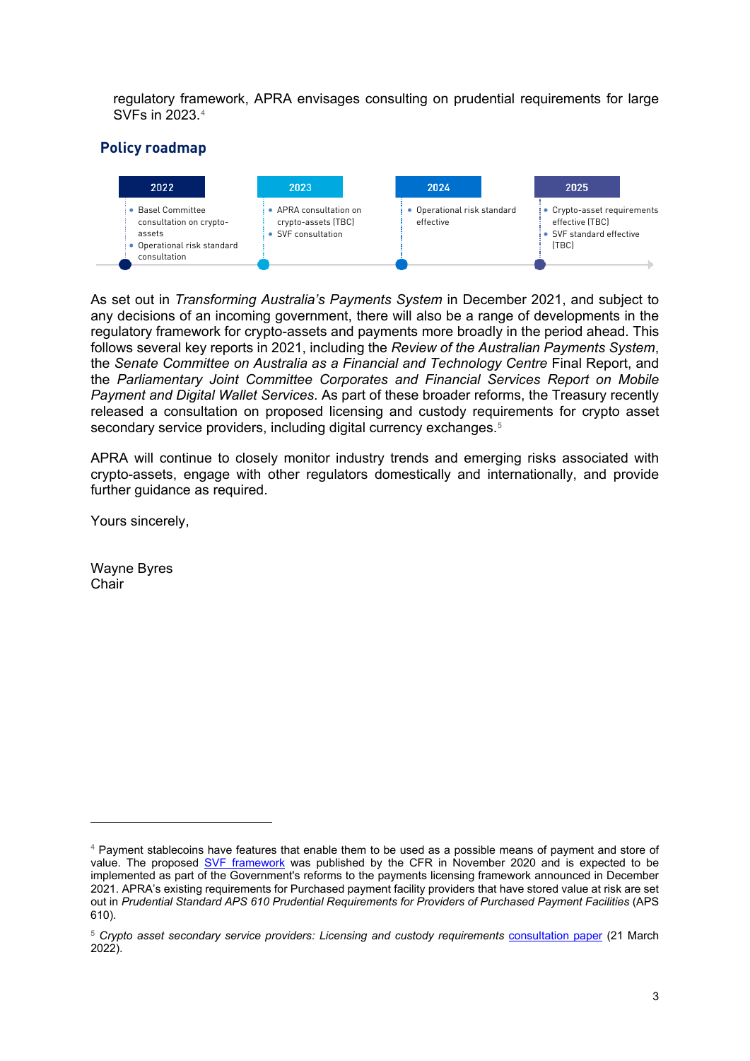regulatory framework, APRA envisages consulting on prudential requirements for large SVFs in 2023.[4](#page-2-0)

# **Policy roadmap**



As set out in *Transforming Australia's Payments System* in December 2021, and subject to any decisions of an incoming government, there will also be a range of developments in the regulatory framework for crypto-assets and payments more broadly in the period ahead. This follows several key reports in 2021, including the *Review of the Australian Payments System*, the *Senate Committee on Australia as a Financial and Technology Centre* Final Report, and the *Parliamentary Joint Committee Corporates and Financial Services Report on Mobile Payment and Digital Wallet Services*. As part of these broader reforms, the Treasury recently released a consultation on proposed licensing and custody requirements for crypto asset secondary service providers, including digital currency exchanges.<sup>[5](#page-2-1)</sup>

APRA will continue to closely monitor industry trends and emerging risks associated with crypto-assets, engage with other regulators domestically and internationally, and provide further guidance as required.

Yours sincerely,

Wayne Byres **Chair** 

<span id="page-2-0"></span><sup>4</sup> Payment stablecoins have features that enable them to be used as a possible means of payment and store of value. The proposed [SVF framework](https://cfr.gov.au/publications/policy-statements-and-other-reports/2020/regulation-of-stored-value-facilities-in-australia/) was published by the CFR in November 2020 and is expected to be implemented as part of the Government's reforms to the payments licensing framework announced in December 2021. APRA's existing requirements for Purchased payment facility providers that have stored value at risk are set out in *Prudential Standard APS 610 Prudential Requirements for Providers of Purchased Payment Facilities* (APS 610).

<span id="page-2-1"></span><sup>&</sup>lt;sup>5</sup> Crypto asset secondary service providers: Licensing and custody requirements [consultation paper](https://treasury.gov.au/sites/default/files/2022-03/c2022-259046.pdf) (21 March 2022).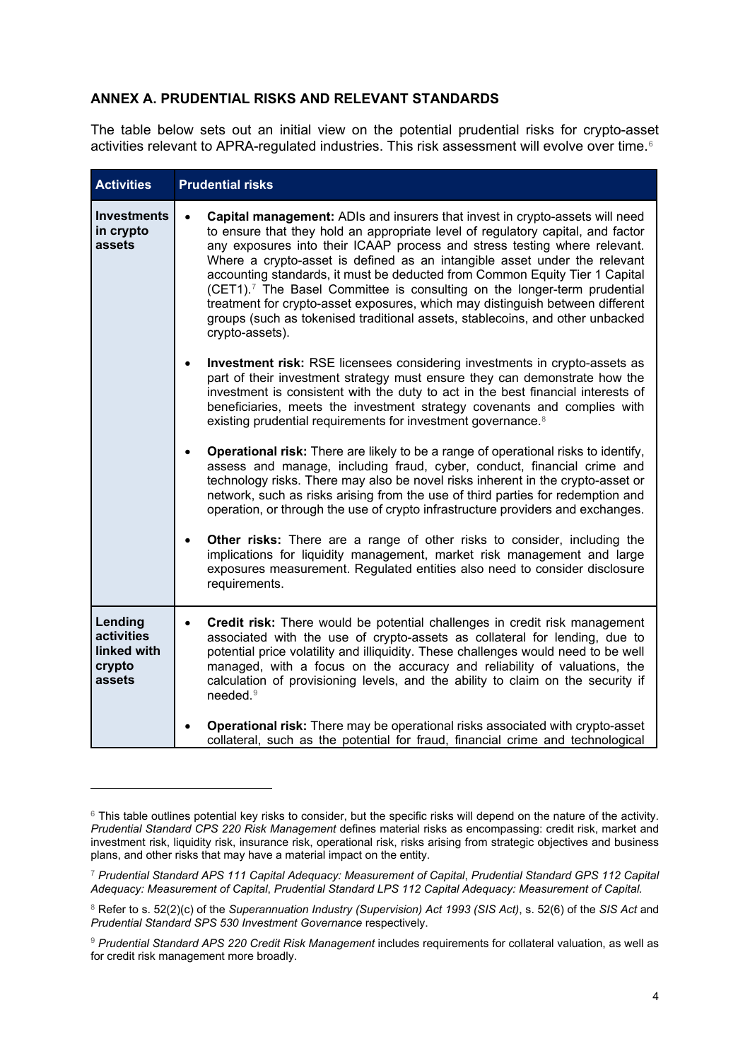## **ANNEX A. PRUDENTIAL RISKS AND RELEVANT STANDARDS**

The table below sets out an initial view on the potential prudential risks for crypto-asset activities relevant to APRA-regulated industries. This risk assessment will evolve over time.<sup>[6](#page-3-0)</sup>

| <b>Activities</b>                                        | <b>Prudential risks</b>                                                                                                                                                                                                                                                                                                                                                                                                                                                                                                                                                                                                                                                               |
|----------------------------------------------------------|---------------------------------------------------------------------------------------------------------------------------------------------------------------------------------------------------------------------------------------------------------------------------------------------------------------------------------------------------------------------------------------------------------------------------------------------------------------------------------------------------------------------------------------------------------------------------------------------------------------------------------------------------------------------------------------|
| <b>Investments</b><br>in crypto<br>assets                | Capital management: ADIs and insurers that invest in crypto-assets will need<br>to ensure that they hold an appropriate level of regulatory capital, and factor<br>any exposures into their ICAAP process and stress testing where relevant.<br>Where a crypto-asset is defined as an intangible asset under the relevant<br>accounting standards, it must be deducted from Common Equity Tier 1 Capital<br>(CET1). <sup>7</sup> The Basel Committee is consulting on the longer-term prudential<br>treatment for crypto-asset exposures, which may distinguish between different<br>groups (such as tokenised traditional assets, stablecoins, and other unbacked<br>crypto-assets). |
|                                                          | <b>Investment risk:</b> RSE licensees considering investments in crypto-assets as<br>part of their investment strategy must ensure they can demonstrate how the<br>investment is consistent with the duty to act in the best financial interests of<br>beneficiaries, meets the investment strategy covenants and complies with<br>existing prudential requirements for investment governance. <sup>8</sup>                                                                                                                                                                                                                                                                           |
|                                                          | Operational risk: There are likely to be a range of operational risks to identify,<br>$\bullet$<br>assess and manage, including fraud, cyber, conduct, financial crime and<br>technology risks. There may also be novel risks inherent in the crypto-asset or<br>network, such as risks arising from the use of third parties for redemption and<br>operation, or through the use of crypto infrastructure providers and exchanges.                                                                                                                                                                                                                                                   |
|                                                          | Other risks: There are a range of other risks to consider, including the<br>$\bullet$<br>implications for liquidity management, market risk management and large<br>exposures measurement. Regulated entities also need to consider disclosure<br>requirements.                                                                                                                                                                                                                                                                                                                                                                                                                       |
| Lending<br>activities<br>linked with<br>crypto<br>assets | Credit risk: There would be potential challenges in credit risk management<br>$\bullet$<br>associated with the use of crypto-assets as collateral for lending, due to<br>potential price volatility and illiquidity. These challenges would need to be well<br>managed, with a focus on the accuracy and reliability of valuations, the<br>calculation of provisioning levels, and the ability to claim on the security if<br>needed. <sup>9</sup>                                                                                                                                                                                                                                    |
|                                                          | Operational risk: There may be operational risks associated with crypto-asset<br>collateral, such as the potential for fraud, financial crime and technological                                                                                                                                                                                                                                                                                                                                                                                                                                                                                                                       |

<span id="page-3-0"></span> $6$  This table outlines potential key risks to consider, but the specific risks will depend on the nature of the activity. *Prudential Standard CPS 220 Risk Management* defines material risks as encompassing: credit risk, market and investment risk, liquidity risk, insurance risk, operational risk, risks arising from strategic objectives and business plans, and other risks that may have a material impact on the entity.

<span id="page-3-1"></span><sup>7</sup> *Prudential Standard APS 111 Capital Adequacy: Measurement of Capital*, *Prudential Standard GPS 112 Capital Adequacy: Measurement of Capital*, *Prudential Standard LPS 112 Capital Adequacy: Measurement of Capital.*

<span id="page-3-2"></span><sup>8</sup> Refer to s. 52(2)(c) of the *Superannuation Industry (Supervision) Act 1993 (SIS Act)*, s. 52(6) of the *SIS Act* and *Prudential Standard SPS 530 Investment Governance* respectively.

<span id="page-3-3"></span><sup>9</sup> *Prudential Standard APS 220 Credit Risk Management* includes requirements for collateral valuation, as well as for credit risk management more broadly.